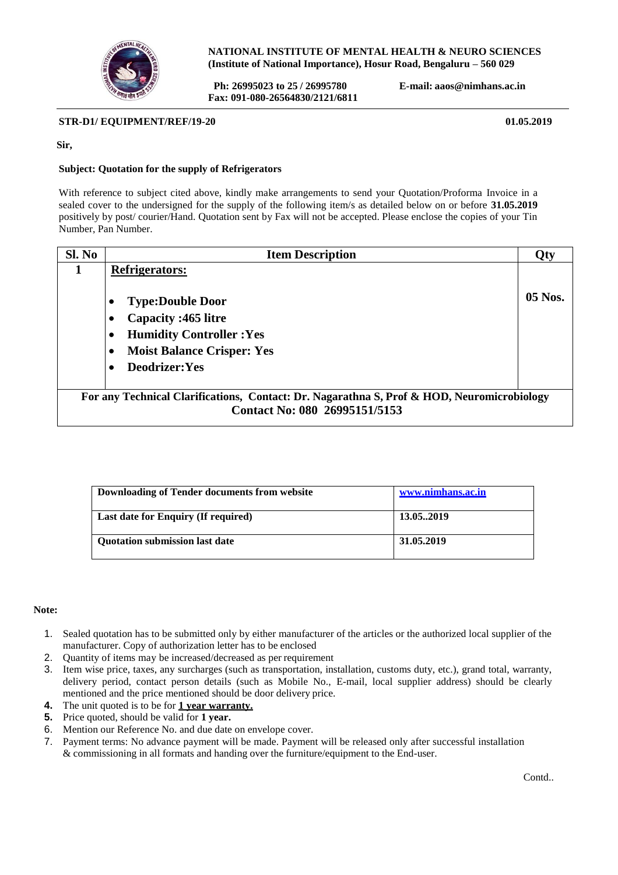

**NATIONAL INSTITUTE OF MENTAL HEALTH & NEURO SCIENCES (Institute of National Importance), Hosur Road, Bengaluru – 560 029**

**Ph: 26995023 to 25 / 26995780 E-mail: [aaos@nimhans.ac.in](mailto:aaos@nimhans.ac.in) Fax: 091-080-26564830/2121/6811**

**STR-D1/ EQUIPMENT/REF/19-20** 01.05.2019

**Sir,**

## **Subject: Quotation for the supply of Refrigerators**

With reference to subject cited above, kindly make arrangements to send your Quotation/Proforma Invoice in a sealed cover to the undersigned for the supply of the following item/s as detailed below on or before **31.05.2019** positively by post/ courier/Hand. Quotation sent by Fax will not be accepted. Please enclose the copies of your Tin Number, Pan Number.

| Sl. No                                                                                     | <b>Item Description</b>           | Qty       |
|--------------------------------------------------------------------------------------------|-----------------------------------|-----------|
| 1                                                                                          | <b>Refrigerators:</b>             |           |
|                                                                                            | <b>Type:Double Door</b>           | $05$ Nos. |
|                                                                                            | Capacity: 465 litre               |           |
|                                                                                            | <b>Humidity Controller: Yes</b>   |           |
|                                                                                            | <b>Moist Balance Crisper: Yes</b> |           |
|                                                                                            | Deodrizer: Yes                    |           |
|                                                                                            |                                   |           |
| For any Technical Clarifications, Contact: Dr. Nagarathna S, Prof & HOD, Neuromicrobiology |                                   |           |
|                                                                                            | Contact No: 080 26995151/5153     |           |

| Downloading of Tender documents from website | www.nimhans.ac.in |
|----------------------------------------------|-------------------|
| <b>Last date for Enquiry (If required)</b>   | 13.052019         |
| <b>Quotation submission last date</b>        | 31.05.2019        |

## **Note:**

- 1. Sealed quotation has to be submitted only by either manufacturer of the articles or the authorized local supplier of the manufacturer. Copy of authorization letter has to be enclosed
- 
- 2. Quantity of items may be increased/decreased as per requirement 3. Item wise price, taxes, any surcharges (such as transportation. ins 3. Item wise price, taxes, any surcharges (such as transportation, installation, customs duty, etc.), grand total, warranty, delivery period, contact person details (such as Mobile No., E-mail, local supplier address) should be clearly mentioned and the price mentioned should be door delivery price.
- **4.** The unit quoted is to be for **1 year warranty.**
- **5.** Price quoted, should be valid for **1 year.**
- 6. Mention our Reference No. and due date on envelope cover.
- 7. Payment terms: No advance payment will be made. Payment will be released only after successful installation & commissioning in all formats and handing over the furniture/equipment to the End-user.